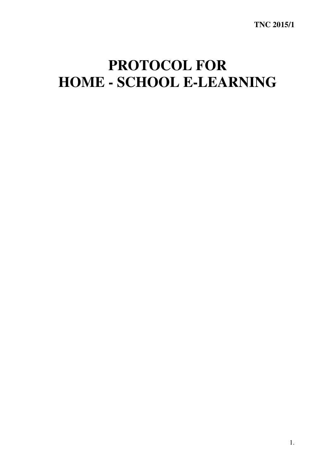## **PROTOCOL FOR HOME - SCHOOL E-LEARNING**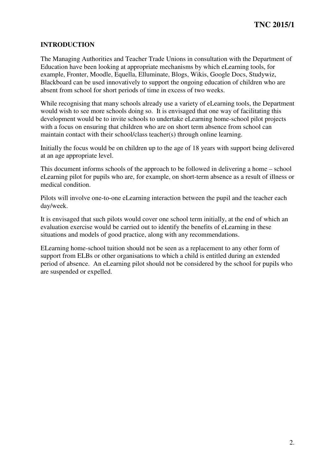## **INTRODUCTION**

 The Managing Authorities and Teacher Trade Unions in consultation with the Department of Education have been looking at appropriate mechanisms by which eLearning tools, for example, Fronter, Moodle, Equella, Elluminate, Blogs, Wikis, Google Docs, Studywiz, Blackboard can be used innovatively to support the ongoing education of children who are absent from school for short periods of time in excess of two weeks.

 While recognising that many schools already use a variety of eLearning tools, the Department would wish to see more schools doing so. It is envisaged that one way of facilitating this development would be to invite schools to undertake eLearning home-school pilot projects with a focus on ensuring that children who are on short term absence from school can maintain contact with their school/class teacher(s) through online learning.

 Initially the focus would be on children up to the age of 18 years with support being delivered at an age appropriate level.

 This document informs schools of the approach to be followed in delivering a home – school eLearning pilot for pupils who are, for example, on short-term absence as a result of illness or medical condition.

 Pilots will involve one-to-one eLearning interaction between the pupil and the teacher each day/week.

day/week.<br>It is envisaged that such pilots would cover one school term initially, at the end of which an evaluation exercise would be carried out to identify the benefits of eLearning in these situations and models of good practice, along with any recommendations.

 ELearning home-school tuition should not be seen as a replacement to any other form of support from ELBs or other organisations to which a child is entitled during an extended period of absence. An eLearning pilot should not be considered by the school for pupils who are suspended or expelled.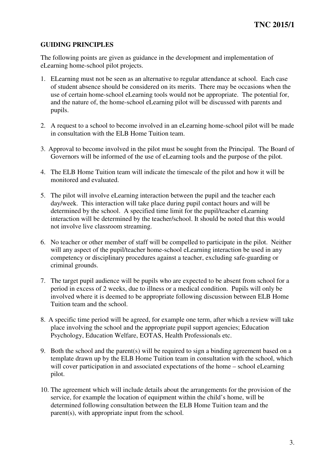## **GUIDING PRINCIPLES**

 The following points are given as guidance in the development and implementation of eLearning home-school pilot projects.

- 1. ELearning must not be seen as an alternative to regular attendance at school. Each case of student absence should be considered on its merits. There may be occasions when the use of certain home-school eLearning tools would not be appropriate. The potential for, and the nature of, the home-school eLearning pilot will be discussed with parents and pupils.
- 2. A request to a school to become involved in an eLearning home-school pilot will be made in consultation with the ELB Home Tuition team.
- 3. Approval to become involved in the pilot must be sought from the Principal. The Board of Governors will be informed of the use of eLearning tools and the purpose of the pilot.
- 4. The ELB Home Tuition team will indicate the timescale of the pilot and how it will be monitored and evaluated.
- 5. The pilot will involve eLearning interaction between the pupil and the teacher each day/week. This interaction will take place during pupil contact hours and will be determined by the school. A specified time limit for the pupil/teacher eLearning interaction will be determined by the teacher/school. It should be noted that this would not involve live classroom streaming.
- 6. No teacher or other member of staff will be compelled to participate in the pilot. Neither will any aspect of the pupil/teacher home-school eLearning interaction be used in any competency or disciplinary procedures against a teacher, excluding safe-guarding or criminal grounds.
- 7. The target pupil audience will be pupils who are expected to be absent from school for a period in excess of 2 weeks, due to illness or a medical condition. Pupils will only be involved where it is deemed to be appropriate following discussion between ELB Home Tuition team and the school.
- 8. A specific time period will be agreed, for example one term, after which a review will take place involving the school and the appropriate pupil support agencies; Education Psychology, Education Welfare, EOTAS, Health Professionals etc.
- 9. Both the school and the parent(s) will be required to sign a binding agreement based on a template drawn up by the ELB Home Tuition team in consultation with the school, which will cover participation in and associated expectations of the home – school eLearning pilot.
- 10. The agreement which will include details about the arrangements for the provision of the service, for example the location of equipment within the child's home, will be determined following consultation between the ELB Home Tuition team and the parent(s), with appropriate input from the school.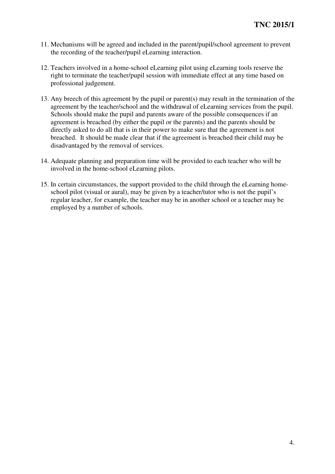- 11. Mechanisms will be agreed and included in the parent/pupil/school agreement to prevent the recording of the teacher/pupil eLearning interaction.
- 12. Teachers involved in a home-school eLearning pilot using eLearning tools reserve the right to terminate the teacher/pupil session with immediate effect at any time based on professional judgement.
- 13. Any breech of this agreement by the pupil or parent(s) may result in the termination of the agreement by the teacher/school and the withdrawal of eLearning services from the pupil. Schools should make the pupil and parents aware of the possible consequences if an agreement is breached (by either the pupil or the parents) and the parents should be directly asked to do all that is in their power to make sure that the agreement is not breached. It should be made clear that if the agreement is breached their child may be disadvantaged by the removal of services.
- 14. Adequate planning and preparation time will be provided to each teacher who will be involved in the home-school eLearning pilots.
- 15. In certain circumstances, the support provided to the child through the eLearning home- school pilot (visual or aural), may be given by a teacher/tutor who is not the pupil's regular teacher, for example, the teacher may be in another school or a teacher may be employed by a number of schools.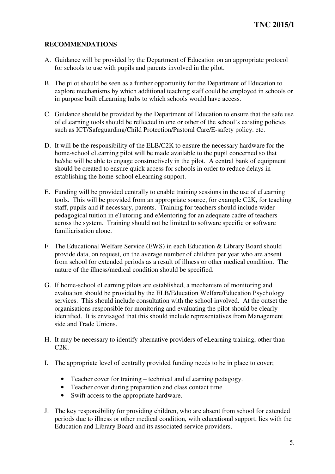## **RECOMMENDATIONS**

- A. Guidance will be provided by the Department of Education on an appropriate protocol for schools to use with pupils and parents involved in the pilot.
- B. The pilot should be seen as a further opportunity for the Department of Education to explore mechanisms by which additional teaching staff could be employed in schools or in purpose built eLearning hubs to which schools would have access.
- C. Guidance should be provided by the Department of Education to ensure that the safe use of eLearning tools should be reflected in one or other of the school's existing policies such as ICT/Safeguarding/Child Protection/Pastoral Care/E-safety policy. etc.
- D. It will be the responsibility of the ELB/C2K to ensure the necessary hardware for the home-school eLearning pilot will be made available to the pupil concerned so that he/she will be able to engage constructively in the pilot. A central bank of equipment should be created to ensure quick access for schools in order to reduce delays in establishing the home-school eLearning support.
- E. Funding will be provided centrally to enable training sessions in the use of eLearning tools. This will be provided from an appropriate source, for example C2K, for teaching staff, pupils and if necessary, parents. Training for teachers should include wider pedagogical tuition in eTutoring and eMentoring for an adequate cadre of teachers across the system. Training should not be limited to software specific or software familiarisation alone.
- F. The Educational Welfare Service (EWS) in each Education  $&$  Library Board should provide data, on request, on the average number of children per year who are absent from school for extended periods as a result of illness or other medical condition. The nature of the illness/medical condition should be specified.
- G. If home-school eLearning pilots are established, a mechanism of monitoring and evaluation should be provided by the ELB/Education Welfare/Education Psychology services. This should include consultation with the school involved. At the outset the organisations responsible for monitoring and evaluating the pilot should be clearly identified. It is envisaged that this should include representatives from Management side and Trade Unions.
- H. It may be necessary to identify alternative providers of eLearning training, other than C2K.
- I. The appropriate level of centrally provided funding needs to be in place to cover;
	- • Teacher cover for training technical and eLearning pedagogy.
	- • Teacher cover during preparation and class contact time.
	- • Swift access to the appropriate hardware.
- J. The key responsibility for providing children, who are absent from school for extended periods due to illness or other medical condition, with educational support, lies with the Education and Library Board and its associated service providers.